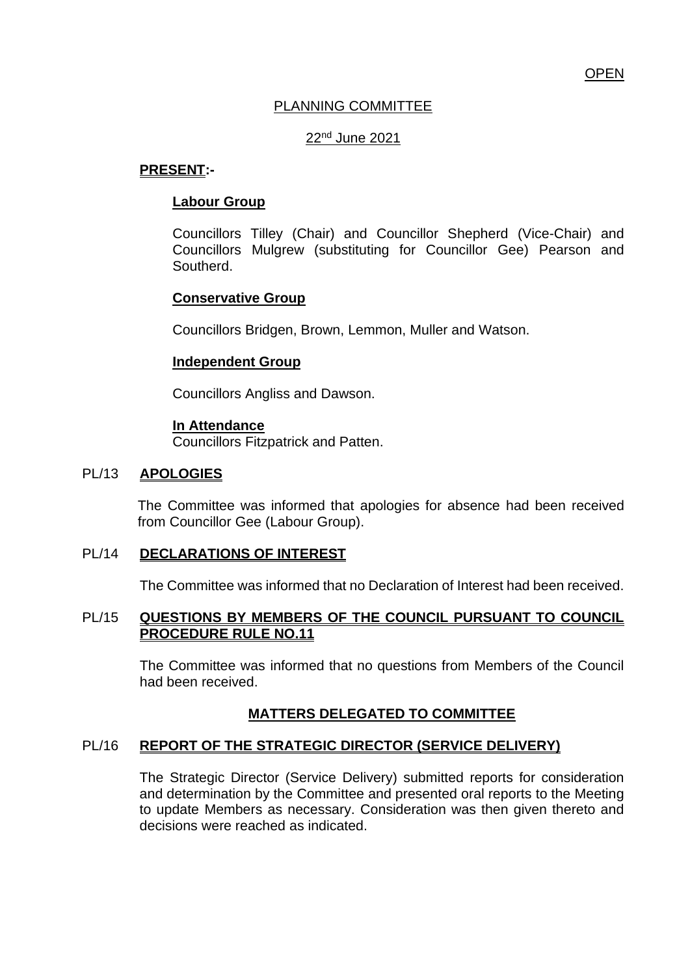## PLANNING COMMITTEE

### 22nd June 2021

### **PRESENT:-**

### **Labour Group**

Councillors Tilley (Chair) and Councillor Shepherd (Vice-Chair) and Councillors Mulgrew (substituting for Councillor Gee) Pearson and Southerd.

## **Conservative Group**

Councillors Bridgen, Brown, Lemmon, Muller and Watson.

#### **Independent Group**

Councillors Angliss and Dawson.

### **In Attendance**

Councillors Fitzpatrick and Patten.

### PL/13 **APOLOGIES**

The Committee was informed that apologies for absence had been received from Councillor Gee (Labour Group).

### PL/14 **DECLARATIONS OF INTEREST**

The Committee was informed that no Declaration of Interest had been received.

### PL/15 **QUESTIONS BY MEMBERS OF THE COUNCIL PURSUANT TO COUNCIL PROCEDURE RULE NO.11**

The Committee was informed that no questions from Members of the Council had been received.

## **MATTERS DELEGATED TO COMMITTEE**

### PL/16 **REPORT OF THE STRATEGIC DIRECTOR (SERVICE DELIVERY)**

The Strategic Director (Service Delivery) submitted reports for consideration and determination by the Committee and presented oral reports to the Meeting to update Members as necessary. Consideration was then given thereto and decisions were reached as indicated.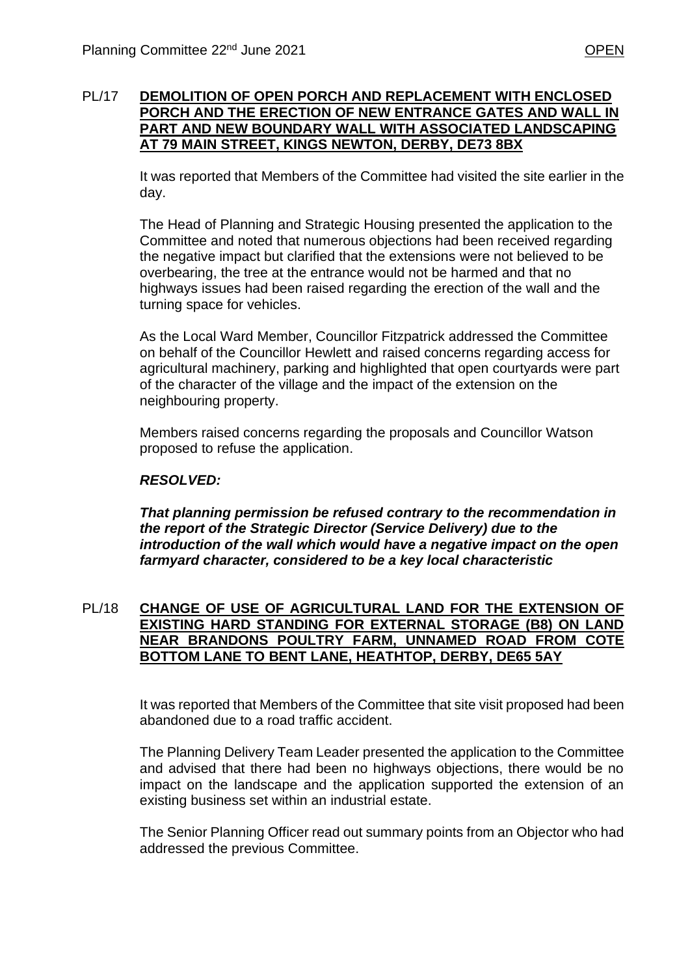### PL/17 **DEMOLITION OF OPEN PORCH AND REPLACEMENT WITH ENCLOSED PORCH AND THE ERECTION OF NEW ENTRANCE GATES AND WALL IN PART AND NEW BOUNDARY WALL WITH ASSOCIATED LANDSCAPING AT 79 MAIN STREET, KINGS NEWTON, DERBY, DE73 8BX**

It was reported that Members of the Committee had visited the site earlier in the day.

The Head of Planning and Strategic Housing presented the application to the Committee and noted that numerous objections had been received regarding the negative impact but clarified that the extensions were not believed to be overbearing, the tree at the entrance would not be harmed and that no highways issues had been raised regarding the erection of the wall and the turning space for vehicles.

As the Local Ward Member, Councillor Fitzpatrick addressed the Committee on behalf of the Councillor Hewlett and raised concerns regarding access for agricultural machinery, parking and highlighted that open courtyards were part of the character of the village and the impact of the extension on the neighbouring property.

Members raised concerns regarding the proposals and Councillor Watson proposed to refuse the application.

## *RESOLVED:*

*That planning permission be refused contrary to the recommendation in the report of the Strategic Director (Service Delivery) due to the introduction of the wall which would have a negative impact on the open farmyard character, considered to be a key local characteristic*

### PL/18 **CHANGE OF USE OF AGRICULTURAL LAND FOR THE EXTENSION OF EXISTING HARD STANDING FOR EXTERNAL STORAGE (B8) ON LAND NEAR BRANDONS POULTRY FARM, UNNAMED ROAD FROM COTE BOTTOM LANE TO BENT LANE, HEATHTOP, DERBY, DE65 5AY**

It was reported that Members of the Committee that site visit proposed had been abandoned due to a road traffic accident.

The Planning Delivery Team Leader presented the application to the Committee and advised that there had been no highways objections, there would be no impact on the landscape and the application supported the extension of an existing business set within an industrial estate.

The Senior Planning Officer read out summary points from an Objector who had addressed the previous Committee.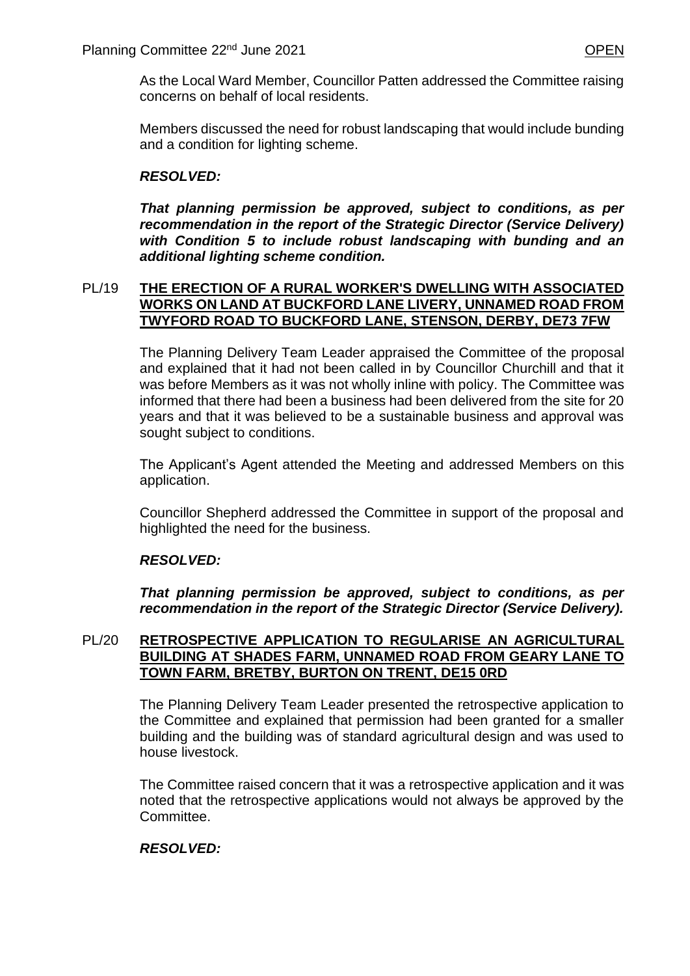As the Local Ward Member, Councillor Patten addressed the Committee raising concerns on behalf of local residents.

Members discussed the need for robust landscaping that would include bunding and a condition for lighting scheme.

## *RESOLVED:*

*That planning permission be approved, subject to conditions, as per recommendation in the report of the Strategic Director (Service Delivery) with Condition 5 to include robust landscaping with bunding and an additional lighting scheme condition.*

### PL/19 **THE ERECTION OF A RURAL WORKER'S DWELLING WITH ASSOCIATED WORKS ON LAND AT BUCKFORD LANE LIVERY, UNNAMED ROAD FROM TWYFORD ROAD TO BUCKFORD LANE, STENSON, DERBY, DE73 7FW**

The Planning Delivery Team Leader appraised the Committee of the proposal and explained that it had not been called in by Councillor Churchill and that it was before Members as it was not wholly inline with policy. The Committee was informed that there had been a business had been delivered from the site for 20 years and that it was believed to be a sustainable business and approval was sought subject to conditions.

The Applicant's Agent attended the Meeting and addressed Members on this application.

Councillor Shepherd addressed the Committee in support of the proposal and highlighted the need for the business.

### *RESOLVED:*

*That planning permission be approved, subject to conditions, as per recommendation in the report of the Strategic Director (Service Delivery).*

#### PL/20 **RETROSPECTIVE APPLICATION TO REGULARISE AN AGRICULTURAL BUILDING AT SHADES FARM, UNNAMED ROAD FROM GEARY LANE TO TOWN FARM, BRETBY, BURTON ON TRENT, DE15 0RD**

The Planning Delivery Team Leader presented the retrospective application to the Committee and explained that permission had been granted for a smaller building and the building was of standard agricultural design and was used to house livestock.

The Committee raised concern that it was a retrospective application and it was noted that the retrospective applications would not always be approved by the Committee.

### *RESOLVED:*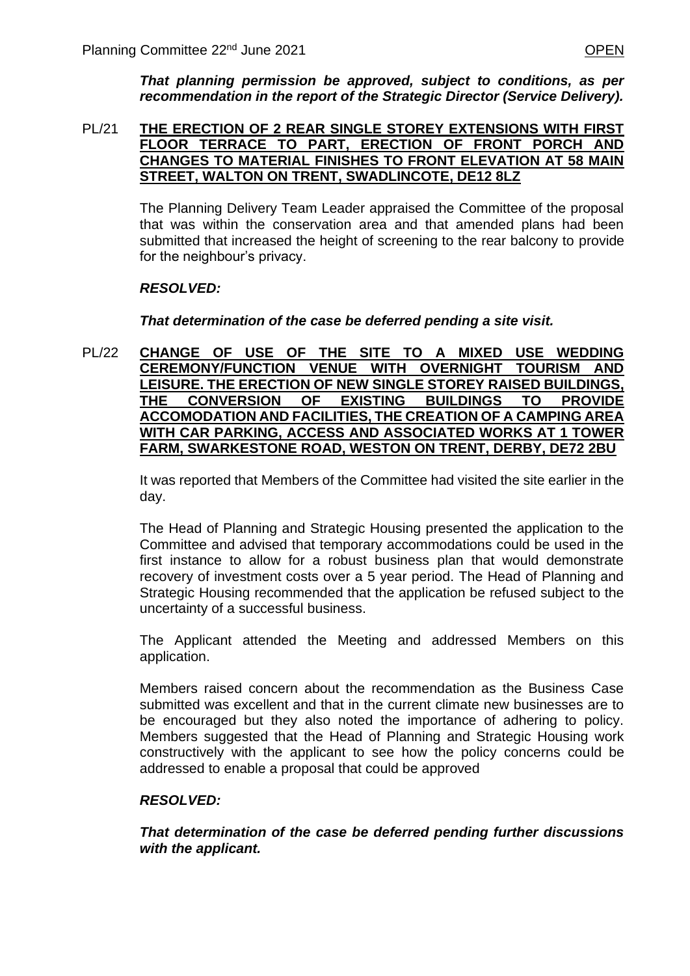*That planning permission be approved, subject to conditions, as per recommendation in the report of the Strategic Director (Service Delivery).*

#### PL/21 **THE ERECTION OF 2 REAR SINGLE STOREY EXTENSIONS WITH FIRST FLOOR TERRACE TO PART, ERECTION OF FRONT PORCH AND CHANGES TO MATERIAL FINISHES TO FRONT ELEVATION AT 58 MAIN STREET, WALTON ON TRENT, SWADLINCOTE, DE12 8LZ**

The Planning Delivery Team Leader appraised the Committee of the proposal that was within the conservation area and that amended plans had been submitted that increased the height of screening to the rear balcony to provide for the neighbour's privacy.

## *RESOLVED:*

### *That determination of the case be deferred pending a site visit.*

PL/22 **CHANGE OF USE OF THE SITE TO A MIXED USE WEDDING CEREMONY/FUNCTION VENUE WITH OVERNIGHT TOURISM AND LEISURE. THE ERECTION OF NEW SINGLE STOREY RAISED BUILDINGS, THE CONVERSION OF EXISTING BUILDINGS TO PROVIDE ACCOMODATION AND FACILITIES, THE CREATION OF A CAMPING AREA WITH CAR PARKING, ACCESS AND ASSOCIATED WORKS AT 1 TOWER FARM, SWARKESTONE ROAD, WESTON ON TRENT, DERBY, DE72 2BU**

> It was reported that Members of the Committee had visited the site earlier in the day.

> The Head of Planning and Strategic Housing presented the application to the Committee and advised that temporary accommodations could be used in the first instance to allow for a robust business plan that would demonstrate recovery of investment costs over a 5 year period. The Head of Planning and Strategic Housing recommended that the application be refused subject to the uncertainty of a successful business.

> The Applicant attended the Meeting and addressed Members on this application.

> Members raised concern about the recommendation as the Business Case submitted was excellent and that in the current climate new businesses are to be encouraged but they also noted the importance of adhering to policy. Members suggested that the Head of Planning and Strategic Housing work constructively with the applicant to see how the policy concerns could be addressed to enable a proposal that could be approved

### *RESOLVED:*

*That determination of the case be deferred pending further discussions with the applicant.*